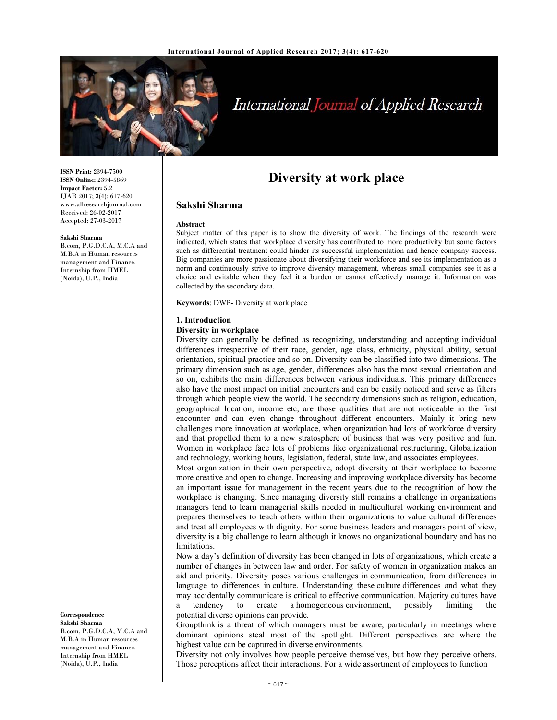

# International Journal of Applied Research

**ISSN Print:** 2394-7500 **ISSN Online:** 2394-5869 **Impact Factor:** 5.2 IJAR 2017; 3(4): 617-620 www.allresearchjournal.com Received: 26-02-2017 Accepted: 27-03-2017

**Sakshi Sharma** 

B.com, P.G.D.C.A, M.C.A and M.B.A in Human resources management and Finance. Internship from HMEL (Noida), U.P., India

**Correspondence Sakshi Sharma** 

B.com, P.G.D.C.A, M.C.A and M.B.A in Human resources management and Finance. Internship from HMEL (Noida), U.P., India

# **Diversity at work place**

# **Sakshi Sharma**

#### **Abstract**

Subject matter of this paper is to show the diversity of work. The findings of the research were indicated, which states that workplace diversity has contributed to more productivity but some factors such as differential treatment could hinder its successful implementation and hence company success. Big companies are more passionate about diversifying their workforce and see its implementation as a norm and continuously strive to improve diversity management, whereas small companies see it as a choice and evitable when they feel it a burden or cannot effectively manage it. Information was collected by the secondary data.

**Keywords**: DWP- Diversity at work place

#### **1. Introduction**

#### **Diversity in workplace**

Diversity can generally be defined as recognizing, understanding and accepting individual differences irrespective of their race, gender, age class, ethnicity, physical ability, sexual orientation, spiritual practice and so on. Diversity can be classified into two dimensions. The primary dimension such as age, gender, differences also has the most sexual orientation and so on, exhibits the main differences between various individuals. This primary differences also have the most impact on initial encounters and can be easily noticed and serve as filters through which people view the world. The secondary dimensions such as religion, education, geographical location, income etc, are those qualities that are not noticeable in the first encounter and can even change throughout different encounters. Mainly it bring new challenges more innovation at workplace, when organization had lots of workforce diversity and that propelled them to a new stratosphere of business that was very positive and fun. Women in workplace face lots of problems like organizational restructuring, Globalization and technology, working hours, legislation, federal, state law, and associates employees.

Most organization in their own perspective, adopt diversity at their workplace to become more creative and open to change. Increasing and improving workplace diversity has become an important issue for management in the recent years due to the recognition of how the workplace is changing. Since managing diversity still remains a challenge in organizations managers tend to learn managerial skills needed in multicultural working environment and prepares themselves to teach others within their organizations to value cultural differences and treat all employees with dignity. For some business leaders and managers point of view, diversity is a big challenge to learn although it knows no organizational boundary and has no limitations.

Now a day's definition of diversity has been changed in lots of organizations, which create a number of changes in between law and order. For safety of women in organization makes an aid and priority. Diversity poses various challenges in communication, from differences in language to differences in culture. Understanding these culture differences and what they may accidentally communicate is critical to effective communication. Majority cultures have a tendency to create a homogeneous environment, possibly limiting the potential diverse opinions can provide.

Groupthink is a threat of which managers must be aware, particularly in meetings where dominant opinions steal most of the spotlight. Different perspectives are where the highest value can be captured in diverse environments.

Diversity not only involves how people perceive themselves, but how they perceive others. Those perceptions affect their interactions. For a wide assortment of employees to function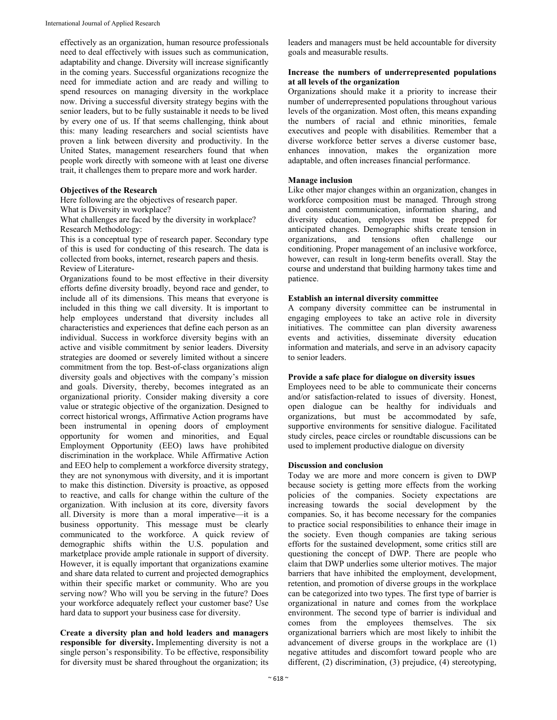effectively as an organization, human resource professionals need to deal effectively with issues such as communication, adaptability and change. Diversity will increase significantly in the coming years. Successful organizations recognize the need for immediate action and are ready and willing to spend resources on managing diversity in the workplace now. Driving a successful diversity strategy begins with the senior leaders, but to be fully sustainable it needs to be lived by every one of us. If that seems challenging, think about this: many leading researchers and social scientists have proven a link between diversity and productivity. In the United States, management researchers found that when people work directly with someone with at least one diverse trait, it challenges them to prepare more and work harder.

## **Objectives of the Research**

Here following are the objectives of research paper.

What is Diversity in workplace?

What challenges are faced by the diversity in workplace? Research Methodology:

This is a conceptual type of research paper. Secondary type of this is used for conducting of this research. The data is collected from books, internet, research papers and thesis. Review of Literature-

Organizations found to be most effective in their diversity efforts define diversity broadly, beyond race and gender, to include all of its dimensions. This means that everyone is included in this thing we call diversity. It is important to help employees understand that diversity includes all characteristics and experiences that define each person as an individual. Success in workforce diversity begins with an active and visible commitment by senior leaders. Diversity strategies are doomed or severely limited without a sincere commitment from the top. Best-of-class organizations align diversity goals and objectives with the company's mission and goals. Diversity, thereby, becomes integrated as an organizational priority. Consider making diversity a core value or strategic objective of the organization. Designed to correct historical wrongs, Affirmative Action programs have been instrumental in opening doors of employment opportunity for women and minorities, and Equal Employment Opportunity (EEO) laws have prohibited discrimination in the workplace. While Affirmative Action and EEO help to complement a workforce diversity strategy, they are not synonymous with diversity, and it is important to make this distinction. Diversity is proactive, as opposed to reactive, and calls for change within the culture of the organization. With inclusion at its core, diversity favors all. Diversity is more than a moral imperative—it is a business opportunity. This message must be clearly communicated to the workforce. A quick review of demographic shifts within the U.S. population and marketplace provide ample rationale in support of diversity. However, it is equally important that organizations examine and share data related to current and projected demographics within their specific market or community. Who are you serving now? Who will you be serving in the future? Does your workforce adequately reflect your customer base? Use hard data to support your business case for diversity.

**Create a diversity plan and hold leaders and managers responsible for diversity.** Implementing diversity is not a single person's responsibility. To be effective, responsibility for diversity must be shared throughout the organization; its

leaders and managers must be held accountable for diversity goals and measurable results.

#### **Increase the numbers of underrepresented populations at all levels of the organization**

Organizations should make it a priority to increase their number of underrepresented populations throughout various levels of the organization. Most often, this means expanding the numbers of racial and ethnic minorities, female executives and people with disabilities. Remember that a diverse workforce better serves a diverse customer base, enhances innovation, makes the organization more adaptable, and often increases financial performance.

### **Manage inclusion**

Like other major changes within an organization, changes in workforce composition must be managed. Through strong and consistent communication, information sharing, and diversity education, employees must be prepped for anticipated changes. Demographic shifts create tension in organizations, and tensions often challenge our conditioning. Proper management of an inclusive workforce, however, can result in long-term benefits overall. Stay the course and understand that building harmony takes time and patience.

### **Establish an internal diversity committee**

A company diversity committee can be instrumental in engaging employees to take an active role in diversity initiatives. The committee can plan diversity awareness events and activities, disseminate diversity education information and materials, and serve in an advisory capacity to senior leaders.

### **Provide a safe place for dialogue on diversity issues**

Employees need to be able to communicate their concerns and/or satisfaction-related to issues of diversity. Honest, open dialogue can be healthy for individuals and organizations, but must be accommodated by safe, supportive environments for sensitive dialogue. Facilitated study circles, peace circles or roundtable discussions can be used to implement productive dialogue on diversity

#### **Discussion and conclusion**

Today we are more and more concern is given to DWP because society is getting more effects from the working policies of the companies. Society expectations are increasing towards the social development by the companies. So, it has become necessary for the companies to practice social responsibilities to enhance their image in the society. Even though companies are taking serious efforts for the sustained development, some critics still are questioning the concept of DWP. There are people who claim that DWP underlies some ulterior motives. The major barriers that have inhibited the employment, development, retention, and promotion of diverse groups in the workplace can be categorized into two types. The first type of barrier is organizational in nature and comes from the workplace environment. The second type of barrier is individual and comes from the employees themselves. The six organizational barriers which are most likely to inhibit the advancement of diverse groups in the workplace are (1) negative attitudes and discomfort toward people who are different, (2) discrimination, (3) prejudice, (4) stereotyping,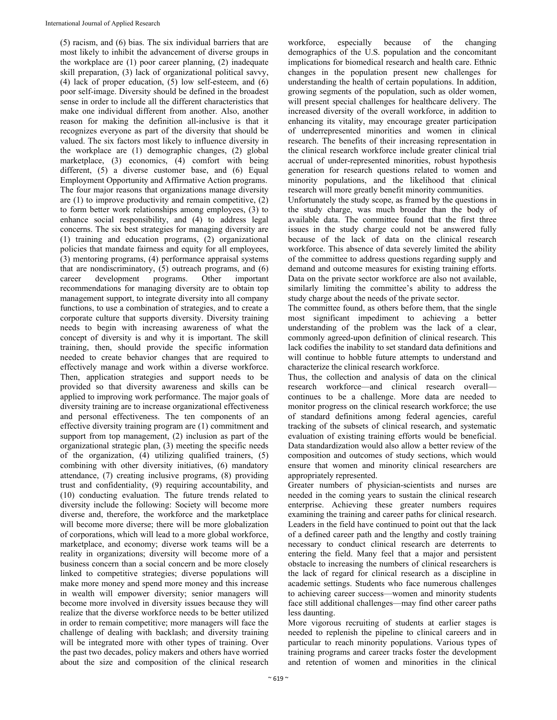(5) racism, and (6) bias. The six individual barriers that are most likely to inhibit the advancement of diverse groups in the workplace are (1) poor career planning, (2) inadequate skill preparation, (3) lack of organizational political savvy, (4) lack of proper education, (5) low self-esteem, and (6) poor self-image. Diversity should be defined in the broadest sense in order to include all the different characteristics that make one individual different from another. Also, another reason for making the definition all-inclusive is that it recognizes everyone as part of the diversity that should be valued. The six factors most likely to influence diversity in the workplace are (1) demographic changes, (2) global marketplace, (3) economics, (4) comfort with being different, (5) a diverse customer base, and (6) Equal Employment Opportunity and Affirmative Action programs. The four major reasons that organizations manage diversity are (1) to improve productivity and remain competitive, (2) to form better work relationships among employees, (3) to enhance social responsibility, and (4) to address legal concerns. The six best strategies for managing diversity are (1) training and education programs, (2) organizational policies that mandate fairness and equity for all employees, (3) mentoring programs, (4) performance appraisal systems that are nondiscriminatory, (5) outreach programs, and (6) career development programs. Other important recommendations for managing diversity are to obtain top management support, to integrate diversity into all company functions, to use a combination of strategies, and to create a corporate culture that supports diversity. Diversity training needs to begin with increasing awareness of what the concept of diversity is and why it is important. The skill training, then, should provide the specific information needed to create behavior changes that are required to effectively manage and work within a diverse workforce. Then, application strategies and support needs to be provided so that diversity awareness and skills can be applied to improving work performance. The major goals of diversity training are to increase organizational effectiveness and personal effectiveness. The ten components of an effective diversity training program are (1) commitment and support from top management, (2) inclusion as part of the organizational strategic plan, (3) meeting the specific needs of the organization, (4) utilizing qualified trainers, (5) combining with other diversity initiatives, (6) mandatory attendance, (7) creating inclusive programs, (8) providing trust and confidentiality, (9) requiring accountability, and (10) conducting evaluation. The future trends related to diversity include the following: Society will become more diverse and, therefore, the workforce and the marketplace will become more diverse; there will be more globalization of corporations, which will lead to a more global workforce, marketplace, and economy; diverse work teams will be a reality in organizations; diversity will become more of a business concern than a social concern and be more closely linked to competitive strategies; diverse populations will make more money and spend more money and this increase in wealth will empower diversity; senior managers will become more involved in diversity issues because they will realize that the diverse workforce needs to be better utilized in order to remain competitive; more managers will face the challenge of dealing with backlash; and diversity training will be integrated more with other types of training. Over the past two decades, policy makers and others have worried about the size and composition of the clinical research

workforce, especially because of the changing demographics of the U.S. population and the concomitant implications for biomedical research and health care. Ethnic changes in the population present new challenges for understanding the health of certain populations. In addition, growing segments of the population, such as older women, will present special challenges for healthcare delivery. The increased diversity of the overall workforce, in addition to enhancing its vitality, may encourage greater participation of underrepresented minorities and women in clinical research. The benefits of their increasing representation in the clinical research workforce include greater clinical trial accrual of under-represented minorities, robust hypothesis generation for research questions related to women and minority populations, and the likelihood that clinical research will more greatly benefit minority communities.

Unfortunately the study scope, as framed by the questions in the study charge, was much broader than the body of available data. The committee found that the first three issues in the study charge could not be answered fully because of the lack of data on the clinical research workforce. This absence of data severely limited the ability of the committee to address questions regarding supply and demand and outcome measures for existing training efforts. Data on the private sector workforce are also not available, similarly limiting the committee's ability to address the study charge about the needs of the private sector.

The committee found, as others before them, that the single most significant impediment to achieving a better understanding of the problem was the lack of a clear, commonly agreed-upon definition of clinical research. This lack codifies the inability to set standard data definitions and will continue to hobble future attempts to understand and characterize the clinical research workforce.

Thus, the collection and analysis of data on the clinical research workforce—and clinical research overall continues to be a challenge. More data are needed to monitor progress on the clinical research workforce; the use of standard definitions among federal agencies, careful tracking of the subsets of clinical research, and systematic evaluation of existing training efforts would be beneficial. Data standardization would also allow a better review of the composition and outcomes of study sections, which would ensure that women and minority clinical researchers are appropriately represented.

Greater numbers of physician-scientists and nurses are needed in the coming years to sustain the clinical research enterprise. Achieving these greater numbers requires examining the training and career paths for clinical research. Leaders in the field have continued to point out that the lack of a defined career path and the lengthy and costly training necessary to conduct clinical research are deterrents to entering the field. Many feel that a major and persistent obstacle to increasing the numbers of clinical researchers is the lack of regard for clinical research as a discipline in academic settings. Students who face numerous challenges to achieving career success—women and minority students face still additional challenges—may find other career paths less daunting.

More vigorous recruiting of students at earlier stages is needed to replenish the pipeline to clinical careers and in particular to reach minority populations. Various types of training programs and career tracks foster the development and retention of women and minorities in the clinical